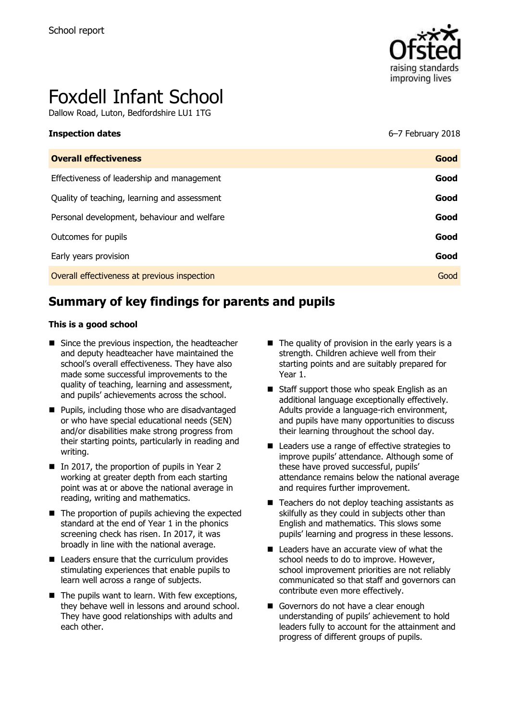

# Foxdell Infant School

Dallow Road, Luton, Bedfordshire LU1 1TG

| <b>Overall effectiveness</b>                 | Good |
|----------------------------------------------|------|
| Effectiveness of leadership and management   | Good |
| Quality of teaching, learning and assessment | Good |
| Personal development, behaviour and welfare  | Good |
| Outcomes for pupils                          | Good |
| Early years provision                        | Good |
| Overall effectiveness at previous inspection | Good |

# **Summary of key findings for parents and pupils**

#### **This is a good school**

- Since the previous inspection, the headteacher and deputy headteacher have maintained the school's overall effectiveness. They have also made some successful improvements to the quality of teaching, learning and assessment, and pupils' achievements across the school.
- **Pupils, including those who are disadvantaged** or who have special educational needs (SEN) and/or disabilities make strong progress from their starting points, particularly in reading and writing.
- In 2017, the proportion of pupils in Year 2 working at greater depth from each starting point was at or above the national average in reading, writing and mathematics.
- $\blacksquare$  The proportion of pupils achieving the expected standard at the end of Year 1 in the phonics screening check has risen. In 2017, it was broadly in line with the national average.
- $\blacksquare$  Leaders ensure that the curriculum provides stimulating experiences that enable pupils to learn well across a range of subjects.
- $\blacksquare$  The pupils want to learn. With few exceptions, they behave well in lessons and around school. They have good relationships with adults and each other.
- $\blacksquare$  The quality of provision in the early years is a strength. Children achieve well from their starting points and are suitably prepared for Year 1.
- Staff support those who speak English as an additional language exceptionally effectively. Adults provide a language-rich environment, and pupils have many opportunities to discuss their learning throughout the school day.
- Leaders use a range of effective strategies to improve pupils' attendance. Although some of these have proved successful, pupils' attendance remains below the national average and requires further improvement.
- $\blacksquare$  Teachers do not deploy teaching assistants as skilfully as they could in subjects other than English and mathematics. This slows some pupils' learning and progress in these lessons.
- Leaders have an accurate view of what the school needs to do to improve. However, school improvement priorities are not reliably communicated so that staff and governors can contribute even more effectively.
- Governors do not have a clear enough understanding of pupils' achievement to hold leaders fully to account for the attainment and progress of different groups of pupils.

**Inspection dates** 6–7 February 2018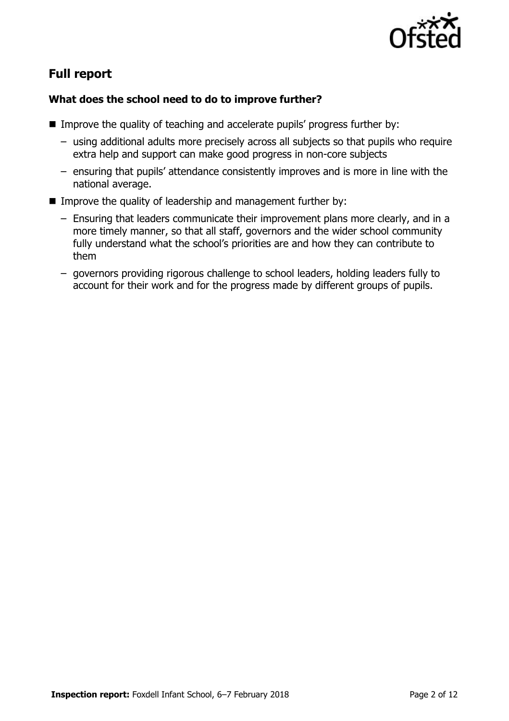

# **Full report**

#### **What does the school need to do to improve further?**

- **IMPROVE the quality of teaching and accelerate pupils' progress further by:** 
	- using additional adults more precisely across all subjects so that pupils who require extra help and support can make good progress in non-core subjects
	- ensuring that pupils' attendance consistently improves and is more in line with the national average.
- Improve the quality of leadership and management further by:
	- Ensuring that leaders communicate their improvement plans more clearly, and in a more timely manner, so that all staff, governors and the wider school community fully understand what the school's priorities are and how they can contribute to them
	- governors providing rigorous challenge to school leaders, holding leaders fully to account for their work and for the progress made by different groups of pupils.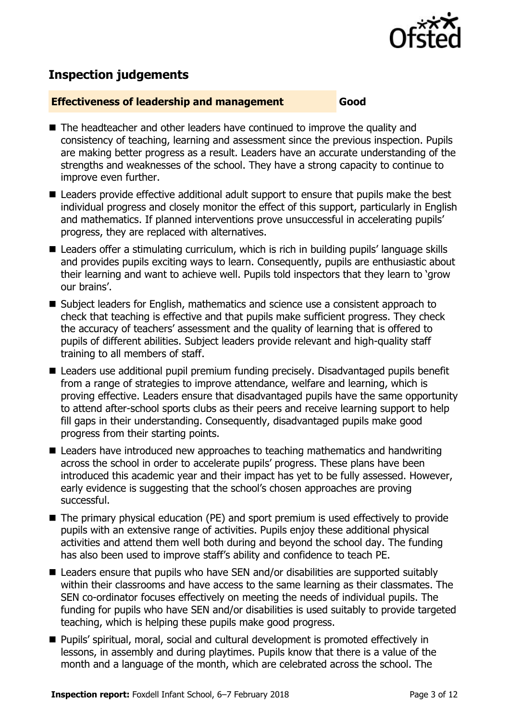

# **Inspection judgements**

#### **Effectiveness of leadership and management Good**

- The headteacher and other leaders have continued to improve the quality and consistency of teaching, learning and assessment since the previous inspection. Pupils are making better progress as a result. Leaders have an accurate understanding of the strengths and weaknesses of the school. They have a strong capacity to continue to improve even further.
- Leaders provide effective additional adult support to ensure that pupils make the best individual progress and closely monitor the effect of this support, particularly in English and mathematics. If planned interventions prove unsuccessful in accelerating pupils' progress, they are replaced with alternatives.
- Leaders offer a stimulating curriculum, which is rich in building pupils' language skills and provides pupils exciting ways to learn. Consequently, pupils are enthusiastic about their learning and want to achieve well. Pupils told inspectors that they learn to 'grow our brains'.
- Subject leaders for English, mathematics and science use a consistent approach to check that teaching is effective and that pupils make sufficient progress. They check the accuracy of teachers' assessment and the quality of learning that is offered to pupils of different abilities. Subject leaders provide relevant and high-quality staff training to all members of staff.
- Leaders use additional pupil premium funding precisely. Disadvantaged pupils benefit from a range of strategies to improve attendance, welfare and learning, which is proving effective. Leaders ensure that disadvantaged pupils have the same opportunity to attend after-school sports clubs as their peers and receive learning support to help fill gaps in their understanding. Consequently, disadvantaged pupils make good progress from their starting points.
- Leaders have introduced new approaches to teaching mathematics and handwriting across the school in order to accelerate pupils' progress. These plans have been introduced this academic year and their impact has yet to be fully assessed. However, early evidence is suggesting that the school's chosen approaches are proving successful.
- The primary physical education (PE) and sport premium is used effectively to provide pupils with an extensive range of activities. Pupils enjoy these additional physical activities and attend them well both during and beyond the school day. The funding has also been used to improve staff's ability and confidence to teach PE.
- Leaders ensure that pupils who have SEN and/or disabilities are supported suitably within their classrooms and have access to the same learning as their classmates. The SEN co-ordinator focuses effectively on meeting the needs of individual pupils. The funding for pupils who have SEN and/or disabilities is used suitably to provide targeted teaching, which is helping these pupils make good progress.
- Pupils' spiritual, moral, social and cultural development is promoted effectively in lessons, in assembly and during playtimes. Pupils know that there is a value of the month and a language of the month, which are celebrated across the school. The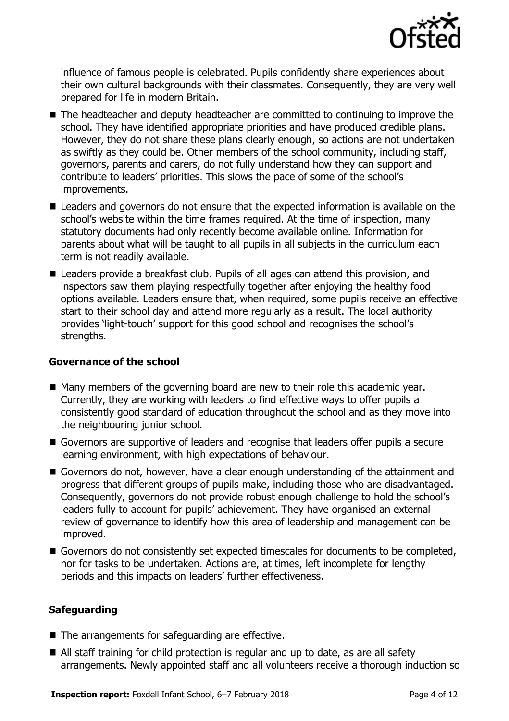

influence of famous people is celebrated. Pupils confidently share experiences about their own cultural backgrounds with their classmates. Consequently, they are very well prepared for life in modern Britain.

- The headteacher and deputy headteacher are committed to continuing to improve the school. They have identified appropriate priorities and have produced credible plans. However, they do not share these plans clearly enough, so actions are not undertaken as swiftly as they could be. Other members of the school community, including staff, governors, parents and carers, do not fully understand how they can support and contribute to leaders' priorities. This slows the pace of some of the school's improvements.
- Leaders and governors do not ensure that the expected information is available on the school's website within the time frames required. At the time of inspection, many statutory documents had only recently become available online. Information for parents about what will be taught to all pupils in all subjects in the curriculum each term is not readily available.
- Leaders provide a breakfast club. Pupils of all ages can attend this provision, and inspectors saw them playing respectfully together after enjoying the healthy food options available. Leaders ensure that, when required, some pupils receive an effective start to their school day and attend more regularly as a result. The local authority provides 'light-touch' support for this good school and recognises the school's strengths.

#### **Governance of the school**

- Many members of the governing board are new to their role this academic year. Currently, they are working with leaders to find effective ways to offer pupils a consistently good standard of education throughout the school and as they move into the neighbouring junior school.
- Governors are supportive of leaders and recognise that leaders offer pupils a secure learning environment, with high expectations of behaviour.
- Governors do not, however, have a clear enough understanding of the attainment and progress that different groups of pupils make, including those who are disadvantaged. Consequently, governors do not provide robust enough challenge to hold the school's leaders fully to account for pupils' achievement. They have organised an external review of governance to identify how this area of leadership and management can be improved.
- Governors do not consistently set expected timescales for documents to be completed, nor for tasks to be undertaken. Actions are, at times, left incomplete for lengthy periods and this impacts on leaders' further effectiveness.

### **Safeguarding**

- The arrangements for safeguarding are effective.
- All staff training for child protection is regular and up to date, as are all safety arrangements. Newly appointed staff and all volunteers receive a thorough induction so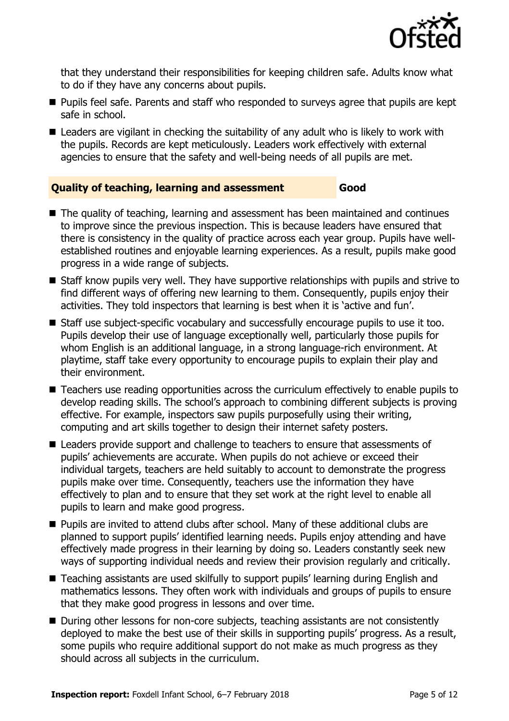

that they understand their responsibilities for keeping children safe. Adults know what to do if they have any concerns about pupils.

- **Pupils feel safe. Parents and staff who responded to surveys agree that pupils are kept** safe in school.
- Leaders are vigilant in checking the suitability of any adult who is likely to work with the pupils. Records are kept meticulously. Leaders work effectively with external agencies to ensure that the safety and well-being needs of all pupils are met.

#### **Quality of teaching, learning and assessment Good**

- The quality of teaching, learning and assessment has been maintained and continues to improve since the previous inspection. This is because leaders have ensured that there is consistency in the quality of practice across each year group. Pupils have wellestablished routines and enjoyable learning experiences. As a result, pupils make good progress in a wide range of subjects.
- Staff know pupils very well. They have supportive relationships with pupils and strive to find different ways of offering new learning to them. Consequently, pupils enjoy their activities. They told inspectors that learning is best when it is 'active and fun'.
- Staff use subject-specific vocabulary and successfully encourage pupils to use it too. Pupils develop their use of language exceptionally well, particularly those pupils for whom English is an additional language, in a strong language-rich environment. At playtime, staff take every opportunity to encourage pupils to explain their play and their environment.
- Teachers use reading opportunities across the curriculum effectively to enable pupils to develop reading skills. The school's approach to combining different subjects is proving effective. For example, inspectors saw pupils purposefully using their writing, computing and art skills together to design their internet safety posters.
- Leaders provide support and challenge to teachers to ensure that assessments of pupils' achievements are accurate. When pupils do not achieve or exceed their individual targets, teachers are held suitably to account to demonstrate the progress pupils make over time. Consequently, teachers use the information they have effectively to plan and to ensure that they set work at the right level to enable all pupils to learn and make good progress.
- **Pupils are invited to attend clubs after school. Many of these additional clubs are** planned to support pupils' identified learning needs. Pupils enjoy attending and have effectively made progress in their learning by doing so. Leaders constantly seek new ways of supporting individual needs and review their provision regularly and critically.
- Teaching assistants are used skilfully to support pupils' learning during English and mathematics lessons. They often work with individuals and groups of pupils to ensure that they make good progress in lessons and over time.
- During other lessons for non-core subjects, teaching assistants are not consistently deployed to make the best use of their skills in supporting pupils' progress. As a result, some pupils who require additional support do not make as much progress as they should across all subjects in the curriculum.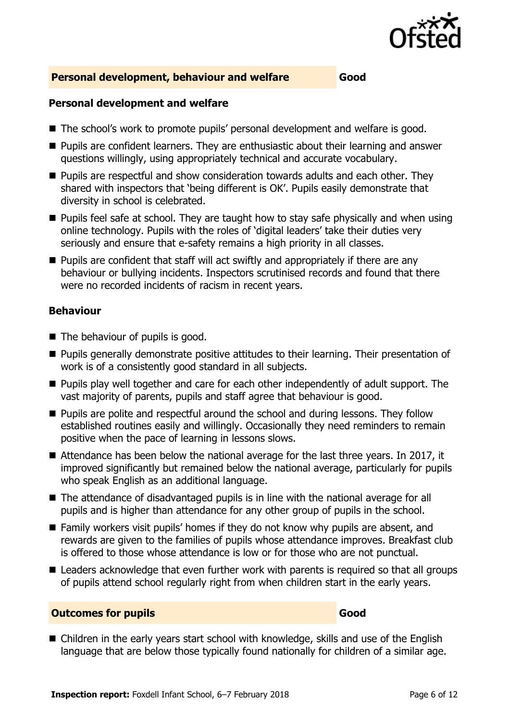

#### **Personal development, behaviour and welfare Good**

#### **Personal development and welfare**

- The school's work to promote pupils' personal development and welfare is good.
- Pupils are confident learners. They are enthusiastic about their learning and answer questions willingly, using appropriately technical and accurate vocabulary.
- **Pupils are respectful and show consideration towards adults and each other. They** shared with inspectors that 'being different is OK'. Pupils easily demonstrate that diversity in school is celebrated.
- $\blacksquare$  Pupils feel safe at school. They are taught how to stay safe physically and when using online technology. Pupils with the roles of 'digital leaders' take their duties very seriously and ensure that e-safety remains a high priority in all classes.
- $\blacksquare$  Pupils are confident that staff will act swiftly and appropriately if there are any behaviour or bullying incidents. Inspectors scrutinised records and found that there were no recorded incidents of racism in recent years.

#### **Behaviour**

- The behaviour of pupils is good.
- **Pupils generally demonstrate positive attitudes to their learning. Their presentation of** work is of a consistently good standard in all subjects.
- **Pupils play well together and care for each other independently of adult support.** The vast majority of parents, pupils and staff agree that behaviour is good.
- **Pupils are polite and respectful around the school and during lessons. They follow** established routines easily and willingly. Occasionally they need reminders to remain positive when the pace of learning in lessons slows.
- Attendance has been below the national average for the last three years. In 2017, it improved significantly but remained below the national average, particularly for pupils who speak English as an additional language.
- The attendance of disadvantaged pupils is in line with the national average for all pupils and is higher than attendance for any other group of pupils in the school.
- Family workers visit pupils' homes if they do not know why pupils are absent, and rewards are given to the families of pupils whose attendance improves. Breakfast club is offered to those whose attendance is low or for those who are not punctual.
- Leaders acknowledge that even further work with parents is required so that all groups of pupils attend school regularly right from when children start in the early years.

#### **Outcomes for pupils Good**

■ Children in the early years start school with knowledge, skills and use of the English language that are below those typically found nationally for children of a similar age.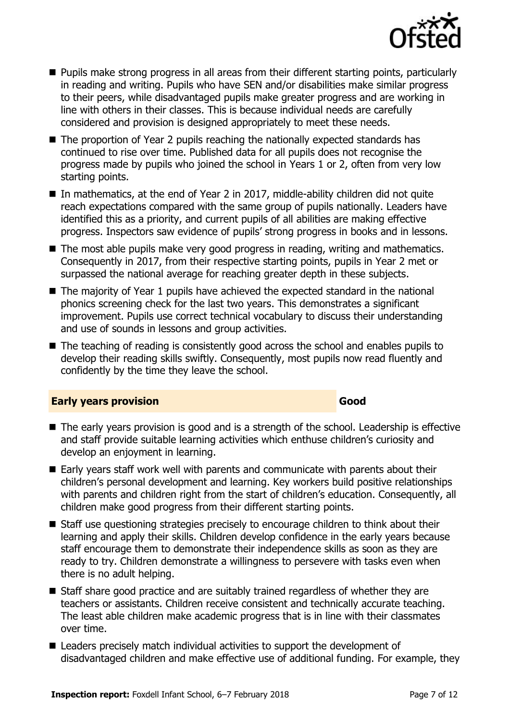

- **Pupils make strong progress in all areas from their different starting points, particularly** in reading and writing. Pupils who have SEN and/or disabilities make similar progress to their peers, while disadvantaged pupils make greater progress and are working in line with others in their classes. This is because individual needs are carefully considered and provision is designed appropriately to meet these needs.
- The proportion of Year 2 pupils reaching the nationally expected standards has continued to rise over time. Published data for all pupils does not recognise the progress made by pupils who joined the school in Years 1 or 2, often from very low starting points.
- In mathematics, at the end of Year 2 in 2017, middle-ability children did not quite reach expectations compared with the same group of pupils nationally. Leaders have identified this as a priority, and current pupils of all abilities are making effective progress. Inspectors saw evidence of pupils' strong progress in books and in lessons.
- The most able pupils make very good progress in reading, writing and mathematics. Consequently in 2017, from their respective starting points, pupils in Year 2 met or surpassed the national average for reaching greater depth in these subjects.
- The majority of Year 1 pupils have achieved the expected standard in the national phonics screening check for the last two years. This demonstrates a significant improvement. Pupils use correct technical vocabulary to discuss their understanding and use of sounds in lessons and group activities.
- The teaching of reading is consistently good across the school and enables pupils to develop their reading skills swiftly. Consequently, most pupils now read fluently and confidently by the time they leave the school.

#### **Early years provision Good Good**

- The early years provision is good and is a strength of the school. Leadership is effective and staff provide suitable learning activities which enthuse children's curiosity and develop an enjoyment in learning.
- $\blacksquare$  Early vears staff work well with parents and communicate with parents about their children's personal development and learning. Key workers build positive relationships with parents and children right from the start of children's education. Consequently, all children make good progress from their different starting points.
- Staff use questioning strategies precisely to encourage children to think about their learning and apply their skills. Children develop confidence in the early years because staff encourage them to demonstrate their independence skills as soon as they are ready to try. Children demonstrate a willingness to persevere with tasks even when there is no adult helping.
- Staff share good practice and are suitably trained regardless of whether they are teachers or assistants. Children receive consistent and technically accurate teaching. The least able children make academic progress that is in line with their classmates over time.
- Leaders precisely match individual activities to support the development of disadvantaged children and make effective use of additional funding. For example, they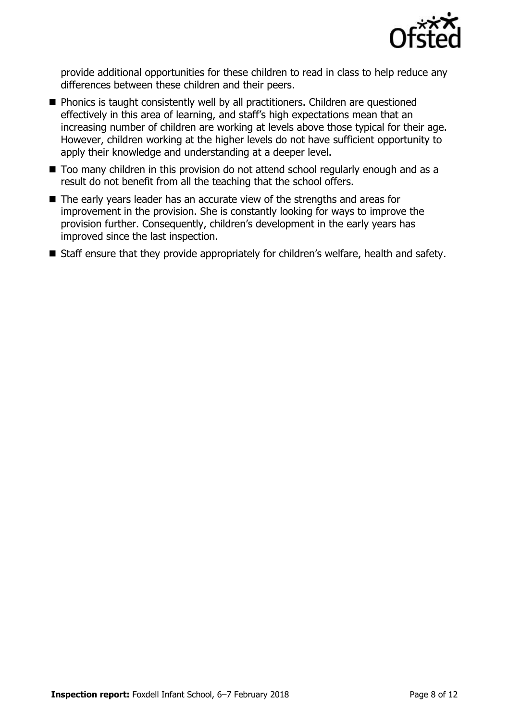

provide additional opportunities for these children to read in class to help reduce any differences between these children and their peers.

- **Phonics is taught consistently well by all practitioners. Children are questioned** effectively in this area of learning, and staff's high expectations mean that an increasing number of children are working at levels above those typical for their age. However, children working at the higher levels do not have sufficient opportunity to apply their knowledge and understanding at a deeper level.
- Too many children in this provision do not attend school regularly enough and as a result do not benefit from all the teaching that the school offers.
- The early years leader has an accurate view of the strengths and areas for improvement in the provision. She is constantly looking for ways to improve the provision further. Consequently, children's development in the early years has improved since the last inspection.
- Staff ensure that they provide appropriately for children's welfare, health and safety.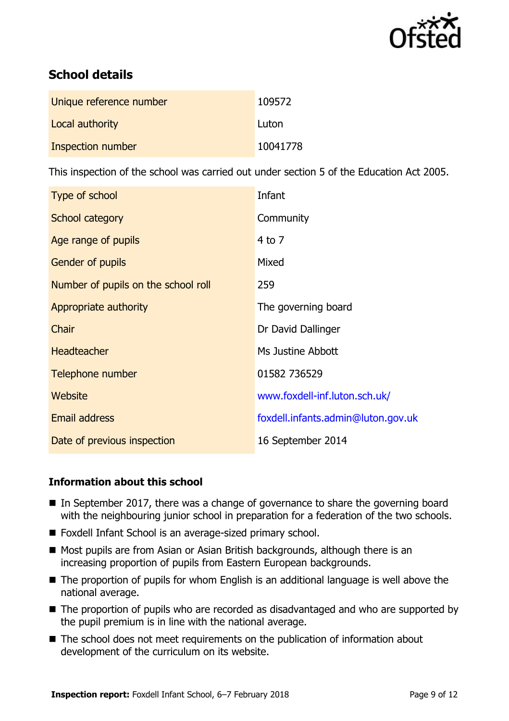

# **School details**

| Unique reference number | 109572   |
|-------------------------|----------|
| Local authority         | Luton    |
| Inspection number       | 10041778 |

This inspection of the school was carried out under section 5 of the Education Act 2005.

| Type of school                      | Infant                             |
|-------------------------------------|------------------------------------|
| School category                     | Community                          |
| Age range of pupils                 | $4$ to $7$                         |
| <b>Gender of pupils</b>             | Mixed                              |
| Number of pupils on the school roll | 259                                |
| Appropriate authority               | The governing board                |
| Chair                               | Dr David Dallinger                 |
| <b>Headteacher</b>                  | Ms Justine Abbott                  |
| Telephone number                    | 01582 736529                       |
| Website                             | www.foxdell-inf.luton.sch.uk/      |
| Email address                       | foxdell.infants.admin@luton.gov.uk |
| Date of previous inspection         | 16 September 2014                  |

#### **Information about this school**

- $\blacksquare$  In September 2017, there was a change of governance to share the governing board with the neighbouring junior school in preparation for a federation of the two schools.
- Foxdell Infant School is an average-sized primary school.
- Most pupils are from Asian or Asian British backgrounds, although there is an increasing proportion of pupils from Eastern European backgrounds.
- The proportion of pupils for whom English is an additional language is well above the national average.
- The proportion of pupils who are recorded as disadvantaged and who are supported by the pupil premium is in line with the national average.
- The school does not meet requirements on the publication of information about development of the curriculum on its website.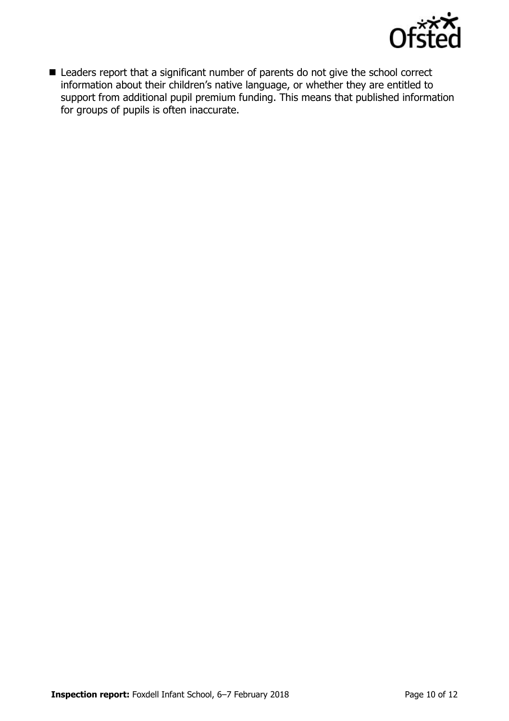

■ Leaders report that a significant number of parents do not give the school correct information about their children's native language, or whether they are entitled to support from additional pupil premium funding. This means that published information for groups of pupils is often inaccurate.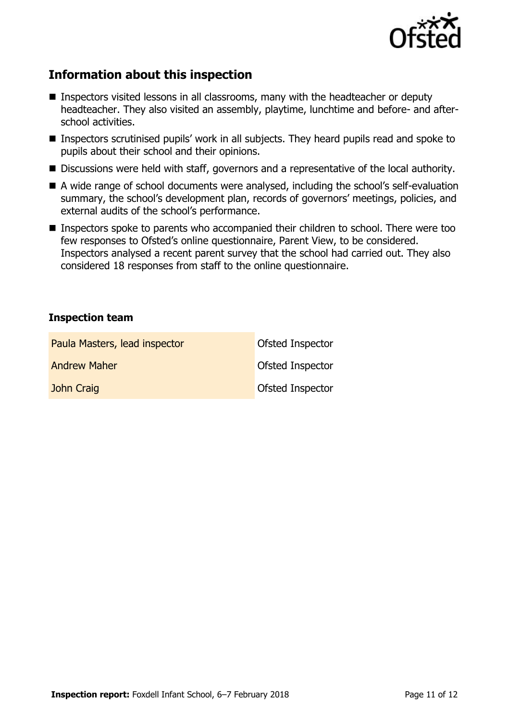

# **Information about this inspection**

- **Inspectors visited lessons in all classrooms, many with the headteacher or deputy** headteacher. They also visited an assembly, playtime, lunchtime and before- and afterschool activities.
- Inspectors scrutinised pupils' work in all subjects. They heard pupils read and spoke to pupils about their school and their opinions.
- Discussions were held with staff, governors and a representative of the local authority.
- A wide range of school documents were analysed, including the school's self-evaluation summary, the school's development plan, records of governors' meetings, policies, and external audits of the school's performance.
- Inspectors spoke to parents who accompanied their children to school. There were too few responses to Ofsted's online questionnaire, Parent View, to be considered. Inspectors analysed a recent parent survey that the school had carried out. They also considered 18 responses from staff to the online questionnaire.

#### **Inspection team**

| Paula Masters, lead inspector | Ofsted Inspector        |
|-------------------------------|-------------------------|
| <b>Andrew Maher</b>           | Ofsted Inspector        |
| John Craig                    | <b>Ofsted Inspector</b> |